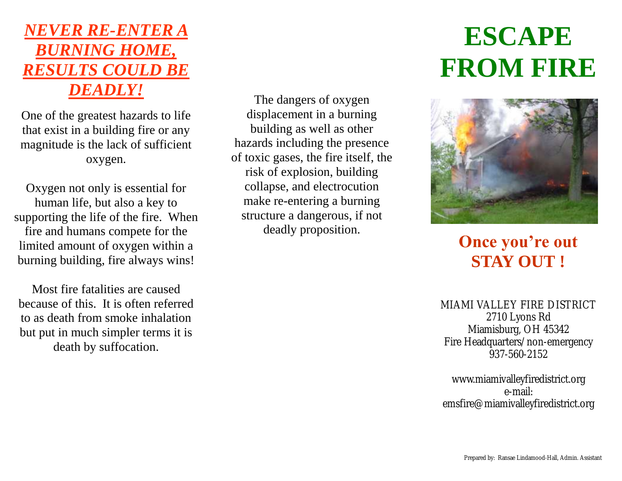# *NEVER RE-ENTER A BURNING HOME, RESULTS COULD BE DEADLY!*

One of the greatest hazards to life that exist in a building fire or any magnitude is the lack of sufficient oxygen.

Oxygen not only is essential for human life, but also a key to supporting the life of the fire. When fire and humans compete for the limited amount of oxygen within a burning building, fire always wins!

Most fire fatalities are caused because of this. It is often referred to as death from smoke inhalation but put in much simpler terms it is death by suffocation.

The dangers of oxygen displacement in a burning building as well as other hazards including the presence of toxic gases, the fire itself, the risk of explosion, building collapse, and electrocution make re-entering a burning structure a dangerous, if not deadly proposition.

# **ESCAPE FROM FIRE**



**Once you're out STAY OUT !**

MIAMI VALLEY FIRE DISTRICT 2710 Lyons Rd Miamisburg, OH 45342 Fire Headquarters/non-emergency 937-560-2152

www.miamivalleyfiredistrict.org e-mail: emsfire@miamivalleyfiredistrict.org